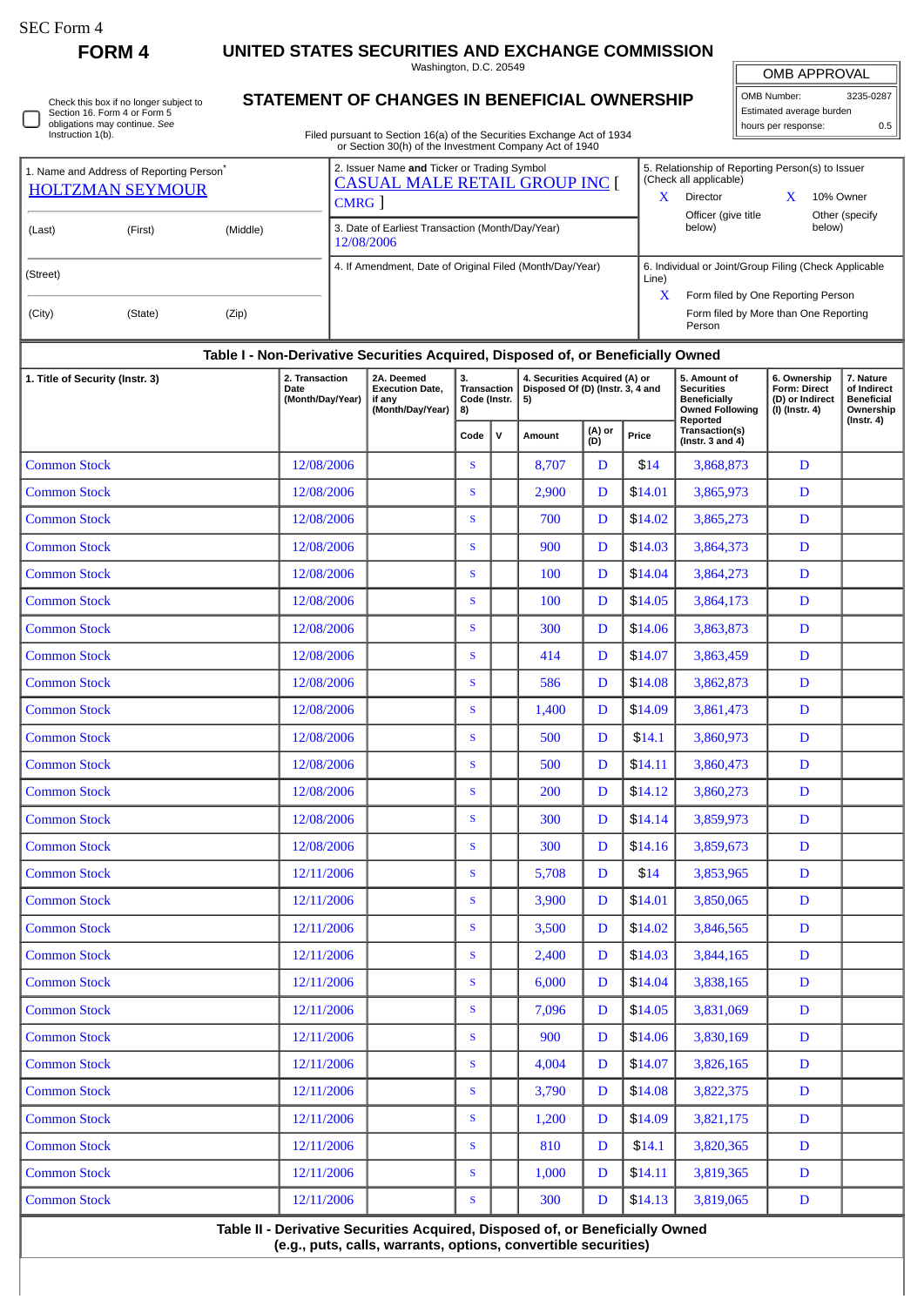$\Box$ 

**FORM 4 UNITED STATES SECURITIES AND EXCHANGE COMMISSION**

Washington, D.C. 20549

Check this box if no longer subject to Section 16. Form 4 or Form 5 obligations may continue. *See* Instruction 1(b).

## **STATEMENT OF CHANGES IN BENEFICIAL OWNERSHIP**

Filed pursuant to Section 16(a) of the Securities Exchange Act of 1934 or Section 30(h) of the Investment Company Act of 1940

OMB APPROVAL OMB Number: 3235-0287 Estimated average burden hours per response: 0.5

|                               | 1. Name and Address of Reporting Person <sup>®</sup><br><b>HOLTZMAN SEYMOUR</b> |       | 2. Issuer Name and Ticker or Trading Symbol<br><b>CASUAL MALE RETAIL GROUP INC [</b><br>CMRG | 5. Relationship of Reporting Person(s) to Issuer<br>(Check all applicable)<br>Director<br>10% Owner<br>$\lambda$<br>Officer (give title<br>Other (specify |
|-------------------------------|---------------------------------------------------------------------------------|-------|----------------------------------------------------------------------------------------------|-----------------------------------------------------------------------------------------------------------------------------------------------------------|
| (Middle)<br>(First)<br>(Last) |                                                                                 |       | 3. Date of Earliest Transaction (Month/Day/Year)<br>12/08/2006                               | below)<br>below)                                                                                                                                          |
| (Street)                      |                                                                                 |       | 4. If Amendment, Date of Original Filed (Month/Day/Year)                                     | 6. Individual or Joint/Group Filing (Check Applicable<br>Line)<br>$\mathbf x$<br>Form filed by One Reporting Person                                       |
| (City)                        | (State)                                                                         | (Zip) |                                                                                              | Form filed by More than One Reporting<br>Person                                                                                                           |
|                               |                                                                                 |       |                                                                                              |                                                                                                                                                           |

|            | Table I - Non-Derivative Securities Acquired, Disposed of, or Beneficially Owned<br>2A. Deemed<br><b>Execution Date,</b><br>if any                                   | 3.<br>Transaction<br>Code (Instr. |  | 4. Securities Acquired (A) or<br>Disposed Of (D) (Instr. 3, 4 and<br>5) |             |         | 5. Amount of<br><b>Securities</b><br><b>Beneficially</b>                      | 6. Ownership<br><b>Form: Direct</b><br>(D) or Indirect                        | 7. Nature<br>of Indirect<br><b>Beneficial</b> |
|------------|----------------------------------------------------------------------------------------------------------------------------------------------------------------------|-----------------------------------|--|-------------------------------------------------------------------------|-------------|---------|-------------------------------------------------------------------------------|-------------------------------------------------------------------------------|-----------------------------------------------|
|            | (Month/Day/Year)                                                                                                                                                     | 8)<br>$\mathsf{v}$<br>Code        |  | (A) or<br>(D)<br><b>Amount</b>                                          |             | Price   | <b>Owned Following</b><br>Reported<br>Transaction(s)<br>(Instr. $3$ and $4$ ) | (I) (Instr. 4)                                                                | Ownership<br>$($ Instr. 4 $)$                 |
| 12/08/2006 |                                                                                                                                                                      | S                                 |  | 8,707                                                                   | D           | \$14    | 3,868,873                                                                     | D                                                                             |                                               |
| 12/08/2006 |                                                                                                                                                                      | S                                 |  | 2,900                                                                   | D           | \$14.01 | 3,865,973                                                                     | D                                                                             |                                               |
| 12/08/2006 |                                                                                                                                                                      | S                                 |  | 700                                                                     | D           | \$14.02 | 3,865,273                                                                     | D                                                                             |                                               |
| 12/08/2006 |                                                                                                                                                                      | $\mathbf S$                       |  | 900                                                                     | D           | \$14.03 | 3,864,373                                                                     | $\mathbf D$                                                                   |                                               |
| 12/08/2006 |                                                                                                                                                                      | $\mathbf S$                       |  | 100                                                                     | D           | \$14.04 | 3,864,273                                                                     | $\mathbf D$                                                                   |                                               |
| 12/08/2006 |                                                                                                                                                                      | $\mathbf{s}$                      |  | 100                                                                     | D           | \$14.05 | 3,864,173                                                                     | D                                                                             |                                               |
| 12/08/2006 |                                                                                                                                                                      | $\mathbf{s}$                      |  | 300                                                                     | D           | \$14.06 | 3,863,873                                                                     | $\mathbf D$                                                                   |                                               |
| 12/08/2006 |                                                                                                                                                                      | S                                 |  | 414                                                                     | D           | \$14.07 | 3,863,459                                                                     | $\mathbf D$                                                                   |                                               |
| 12/08/2006 |                                                                                                                                                                      | S                                 |  | 586                                                                     | D           | \$14.08 | 3,862,873                                                                     | $\mathbf D$                                                                   |                                               |
| 12/08/2006 |                                                                                                                                                                      | $\mathbf S$                       |  | 1,400                                                                   | D           | \$14.09 | 3,861,473                                                                     | $\mathbf D$                                                                   |                                               |
| 12/08/2006 |                                                                                                                                                                      | S                                 |  | 500                                                                     | D           | \$14.1  | 3,860,973                                                                     | D                                                                             |                                               |
| 12/08/2006 |                                                                                                                                                                      | $\mathbf S$                       |  | 500                                                                     | D           | \$14.11 | 3,860,473                                                                     | D                                                                             |                                               |
| 12/08/2006 |                                                                                                                                                                      | $\mathbf{s}$                      |  | 200                                                                     | D           | \$14.12 | 3,860,273                                                                     | D                                                                             |                                               |
| 12/08/2006 |                                                                                                                                                                      | S                                 |  | 300                                                                     | D           | \$14.14 | 3,859,973                                                                     | D                                                                             |                                               |
| 12/08/2006 |                                                                                                                                                                      | S                                 |  | 300                                                                     | D           | \$14.16 | 3,859,673                                                                     | D                                                                             |                                               |
| 12/11/2006 |                                                                                                                                                                      | S                                 |  | 5,708                                                                   | D           | \$14    | 3,853,965                                                                     | D                                                                             |                                               |
|            |                                                                                                                                                                      | $\mathbf S$                       |  | 3,900                                                                   | D           | \$14.01 | 3,850,065                                                                     | D                                                                             |                                               |
|            |                                                                                                                                                                      | $\mathbf S$                       |  | 3,500                                                                   | D           | \$14.02 | 3,846,565                                                                     | D                                                                             |                                               |
|            |                                                                                                                                                                      | $\mathbf S$                       |  | 2,400                                                                   | D           | \$14.03 | 3,844,165                                                                     | D                                                                             |                                               |
|            |                                                                                                                                                                      | $\mathbf{s}$                      |  | 6,000                                                                   | D           | \$14.04 | 3,838,165                                                                     | $\mathbf D$                                                                   |                                               |
|            |                                                                                                                                                                      | S                                 |  | 7,096                                                                   | D           | \$14.05 | 3,831,069                                                                     | $\mathbf D$                                                                   |                                               |
|            |                                                                                                                                                                      | ${\bf S}$                         |  | 900                                                                     | $\mathbf D$ | \$14.06 | 3,830,169                                                                     | $\mathbf D$                                                                   |                                               |
|            |                                                                                                                                                                      | ${\bf S}$                         |  | 4,004                                                                   | D           | \$14.07 | 3,826,165                                                                     | D                                                                             |                                               |
|            |                                                                                                                                                                      | S                                 |  | 3,790                                                                   | D           | \$14.08 | 3,822,375                                                                     | D                                                                             |                                               |
|            |                                                                                                                                                                      | ${\mathbf S}$                     |  | 1,200                                                                   | D           | \$14.09 | 3,821,175                                                                     | D                                                                             |                                               |
|            |                                                                                                                                                                      | S                                 |  | 810                                                                     | D           | \$14.1  | 3,820,365                                                                     | $\mathbf D$                                                                   |                                               |
|            |                                                                                                                                                                      | $\mathbf{s}$                      |  | 1,000                                                                   | D           | \$14.11 | 3,819,365                                                                     | $\mathbf D$                                                                   |                                               |
|            |                                                                                                                                                                      | ${\mathbf S}$                     |  | 300                                                                     | D           | \$14.13 | 3,819,065                                                                     | D                                                                             |                                               |
|            | 12/11/2006<br>12/11/2006<br>12/11/2006<br>12/11/2006<br>12/11/2006<br>12/11/2006<br>12/11/2006<br>12/11/2006<br>12/11/2006<br>12/11/2006<br>12/11/2006<br>12/11/2006 |                                   |  |                                                                         |             |         |                                                                               | Table II - Derivative Securities Acquired, Disposed of, or Beneficially Owned |                                               |

**(e.g., puts, calls, warrants, options, convertible securities)**